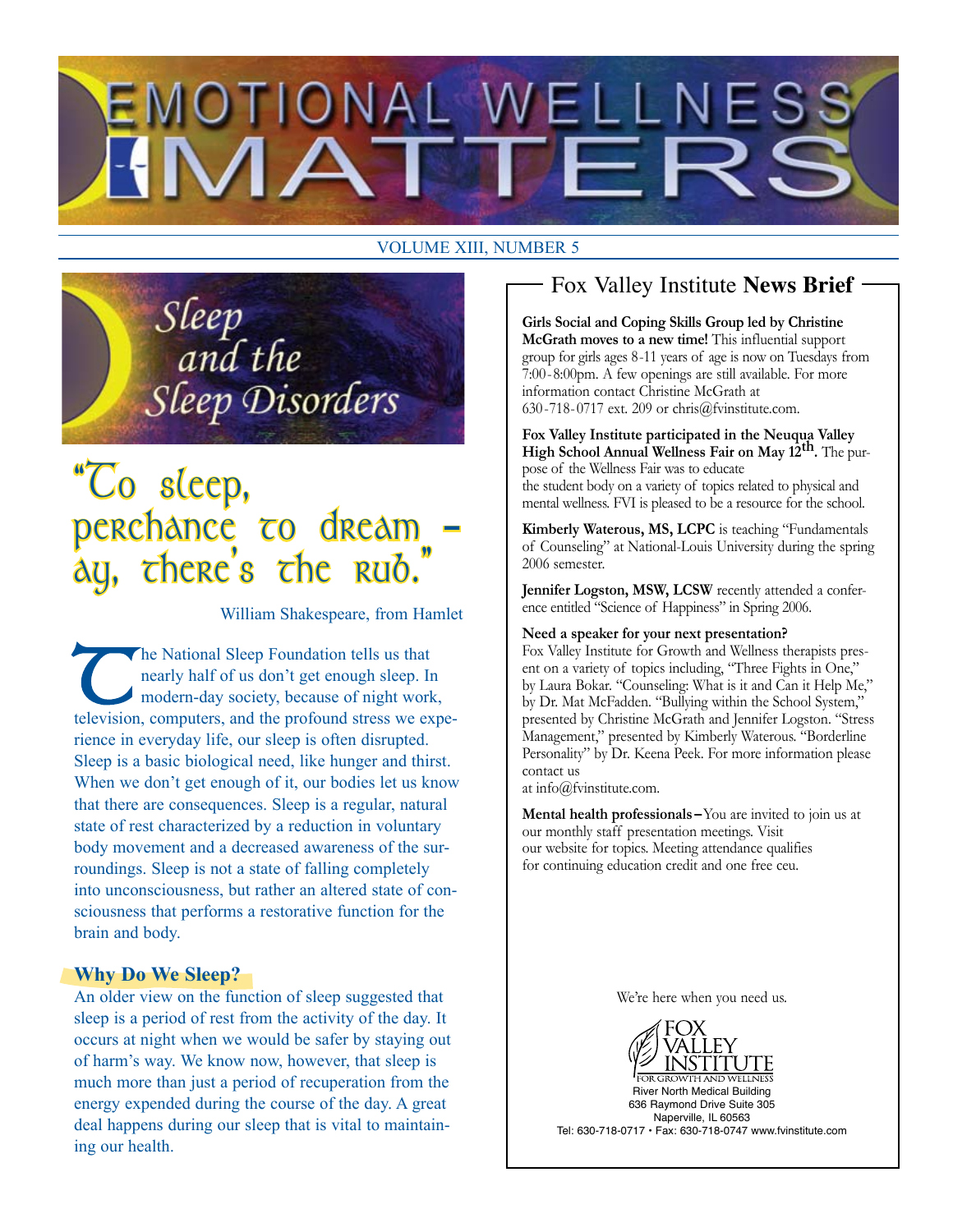

#### VOLUME XIII, NUMBER 5

Sleep<br>and the **Sleep Disorders** 

## "Co sleep, erchance <del>c</del>o dream there's the rub.

William Shakespeare, from Hamlet

The National Sleep Foundation tells us that<br>nearly half of us don't get enough sleep. In<br>modern-day society, because of night work<br>television computers and the profound stress we exnearly half of us don't get enough sleep. In modern-day society, because of night work, television, computers, and the profound stress we experience in everyday life, our sleep is often disrupted. Sleep is a basic biological need, like hunger and thirst. When we don't get enough of it, our bodies let us know that there are consequences. Sleep is a regular, natural state of rest characterized by a reduction in voluntary body movement and a decreased awareness of the surroundings. Sleep is not a state of falling completely into unconsciousness, but rather an altered state of consciousness that performs a restorative function for the brain and body.

#### **Why Do We Sleep?**

An older view on the function of sleep suggested that sleep is a period of rest from the activity of the day. It occurs at night when we would be safer by staying out of harm's way. We know now, however, that sleep is much more than just a period of recuperation from the energy expended during the course of the day. A great deal happens during our sleep that is vital to maintaining our health.

### Fox Valley Institute **News Brief**

**Girls Social and Coping Skills Group led by Christine McGrath moves to a new time!** This influential support group for girls ages 8-11 years of age is now on Tuesdays from 7:00-8:00pm. A few openings are still available. For more information contact Christine McGrath at 630-718-0717 ext. 209 or chris@fvinstitute.com.

**Fox Valley Institute participated in the Neuqua Valley High School Annual Wellness Fair on May 12th.** The purpose of the Wellness Fair was to educate the student body on a variety of topics related to physical and mental wellness. FVI is pleased to be a resource for the school.

**Kimberly Waterous, MS, LCPC** is teaching "Fundamentals of Counseling" at National-Louis University during the spring 2006 semester.

**Jennifer Logston, MSW, LCSW** recently attended a conference entitled "Science of Happiness" in Spring 2006.

#### **Need a speaker for your next presentation?**

Fox Valley Institute for Growth and Wellness therapists present on a variety of topics including, "Three Fights in One," by Laura Bokar. "Counseling: What is it and Can it Help Me," by Dr. Mat McFadden. "Bullying within the School System," presented by Christine McGrath and Jennifer Logston. "Stress Management," presented by Kimberly Waterous. "Borderline Personality" by Dr. Keena Peek. For more information please contact us

at info@fvinstitute.com.

**Mental health professionals –**You are invited to join us at our monthly staff presentation meetings. Visit our website for topics. Meeting attendance qualifies for continuing education credit and one free ceu.

We're here when you need us.

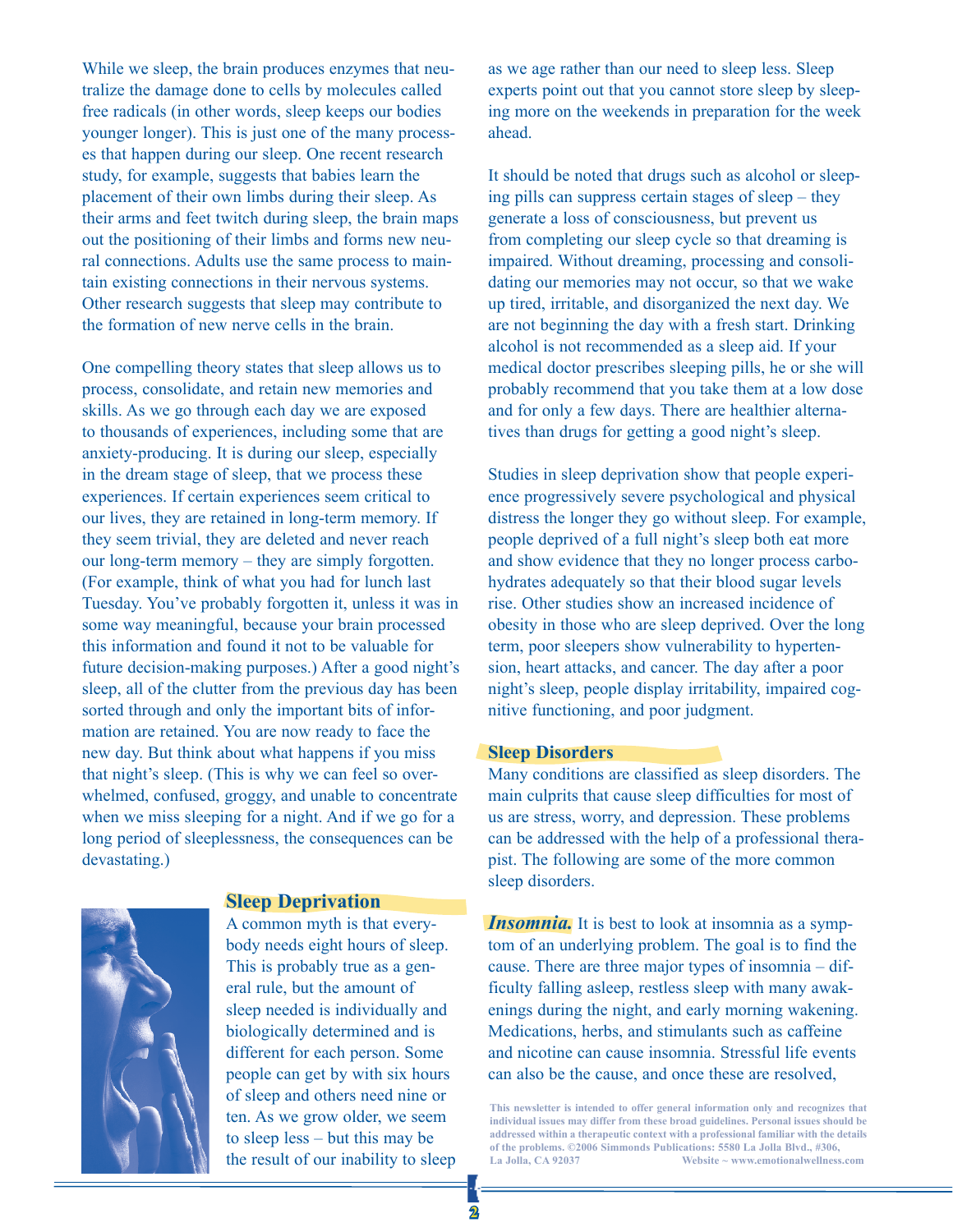While we sleep, the brain produces enzymes that neutralize the damage done to cells by molecules called free radicals (in other words, sleep keeps our bodies younger longer). This is just one of the many processes that happen during our sleep. One recent research study, for example, suggests that babies learn the placement of their own limbs during their sleep. As their arms and feet twitch during sleep, the brain maps out the positioning of their limbs and forms new neural connections. Adults use the same process to maintain existing connections in their nervous systems. Other research suggests that sleep may contribute to the formation of new nerve cells in the brain.

One compelling theory states that sleep allows us to process, consolidate, and retain new memories and skills. As we go through each day we are exposed to thousands of experiences, including some that are anxiety-producing. It is during our sleep, especially in the dream stage of sleep, that we process these experiences. If certain experiences seem critical to our lives, they are retained in long-term memory. If they seem trivial, they are deleted and never reach our long-term memory – they are simply forgotten. (For example, think of what you had for lunch last Tuesday. You've probably forgotten it, unless it was in some way meaningful, because your brain processed this information and found it not to be valuable for future decision-making purposes.) After a good night's sleep, all of the clutter from the previous day has been sorted through and only the important bits of information are retained. You are now ready to face the new day. But think about what happens if you miss that night's sleep. (This is why we can feel so overwhelmed, confused, groggy, and unable to concentrate when we miss sleeping for a night. And if we go for a long period of sleeplessness, the consequences can be devastating.)

#### **Sleep Deprivation**

A common myth is that everybody needs eight hours of sleep. This is probably true as a general rule, but the amount of sleep needed is individually and biologically determined and is different for each person. Some people can get by with six hours of sleep and others need nine or ten. As we grow older, we seem to sleep less – but this may be the result of our inability to sleep

as we age rather than our need to sleep less. Sleep experts point out that you cannot store sleep by sleeping more on the weekends in preparation for the week ahead.

It should be noted that drugs such as alcohol or sleeping pills can suppress certain stages of sleep – they generate a loss of consciousness, but prevent us from completing our sleep cycle so that dreaming is impaired. Without dreaming, processing and consolidating our memories may not occur, so that we wake up tired, irritable, and disorganized the next day. We are not beginning the day with a fresh start. Drinking alcohol is not recommended as a sleep aid. If your medical doctor prescribes sleeping pills, he or she will probably recommend that you take them at a low dose and for only a few days. There are healthier alternatives than drugs for getting a good night's sleep.

Studies in sleep deprivation show that people experience progressively severe psychological and physical distress the longer they go without sleep. For example, people deprived of a full night's sleep both eat more and show evidence that they no longer process carbohydrates adequately so that their blood sugar levels rise. Other studies show an increased incidence of obesity in those who are sleep deprived. Over the long term, poor sleepers show vulnerability to hypertension, heart attacks, and cancer. The day after a poor night's sleep, people display irritability, impaired cognitive functioning, and poor judgment.

#### **Sleep Disorders**

Many conditions are classified as sleep disorders. The main culprits that cause sleep difficulties for most of us are stress, worry, and depression. These problems can be addressed with the help of a professional therapist. The following are some of the more common sleep disorders.

*Insomnia.* It is best to look at insomnia as a symptom of an underlying problem. The goal is to find the cause. There are three major types of insomnia – difficulty falling asleep, restless sleep with many awakenings during the night, and early morning wakening. Medications, herbs, and stimulants such as caffeine and nicotine can cause insomnia. Stressful life events can also be the cause, and once these are resolved,

**This newsletter is intended to offer general information only and recognizes that individual issues may differ from these broad guidelines. Personal issues should be addressed within a therapeutic context with a professional familiar with the details of the problems. ©2006 Simmonds Publications: 5580 La Jolla Blvd., #306, La Jolla, CA 92037 Website ~ www.emotionalwellness.com**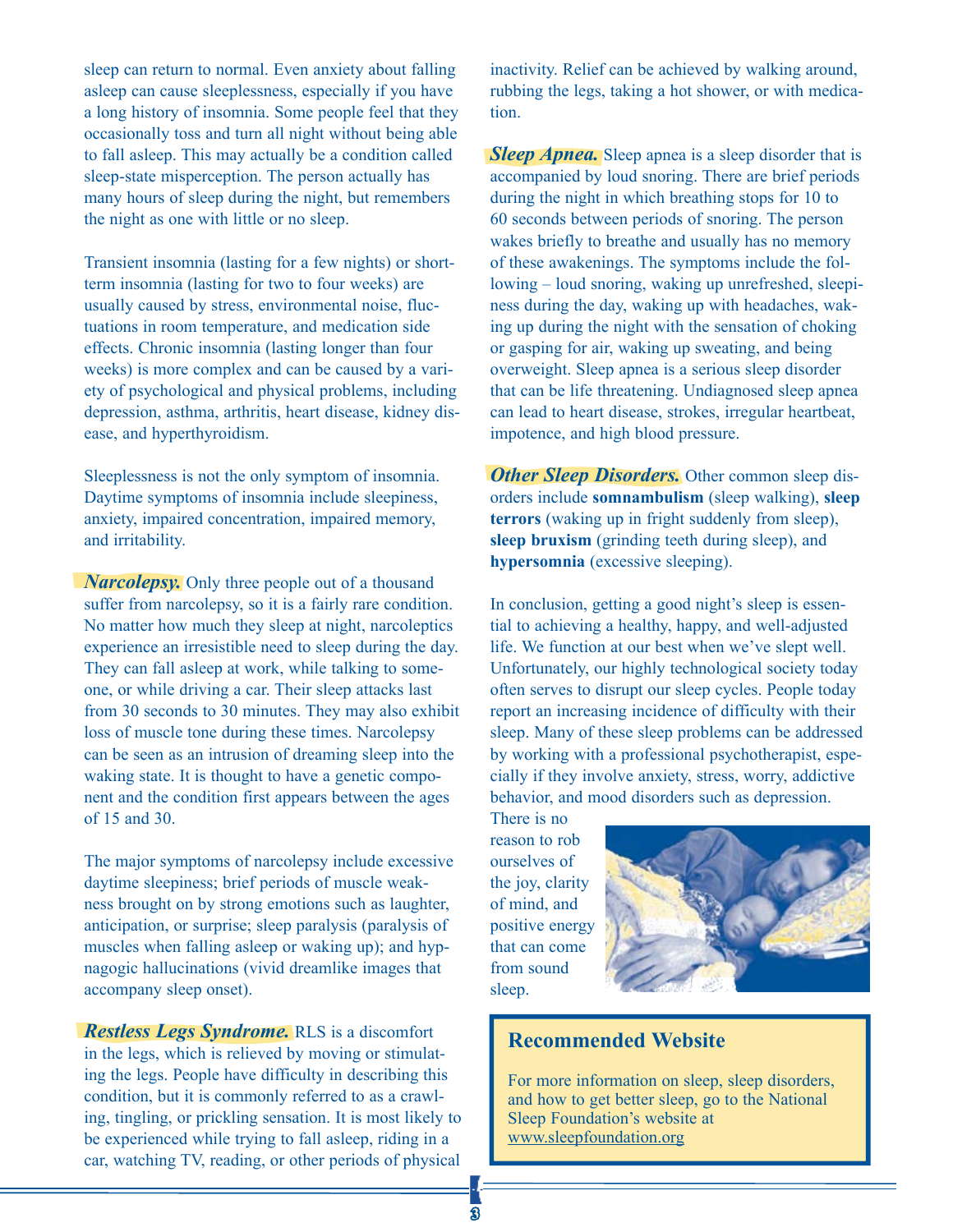sleep can return to normal. Even anxiety about falling asleep can cause sleeplessness, especially if you have a long history of insomnia. Some people feel that they occasionally toss and turn all night without being able to fall asleep. This may actually be a condition called sleep-state misperception. The person actually has many hours of sleep during the night, but remembers the night as one with little or no sleep.

Transient insomnia (lasting for a few nights) or shortterm insomnia (lasting for two to four weeks) are usually caused by stress, environmental noise, fluctuations in room temperature, and medication side effects. Chronic insomnia (lasting longer than four weeks) is more complex and can be caused by a variety of psychological and physical problems, including depression, asthma, arthritis, heart disease, kidney disease, and hyperthyroidism.

Sleeplessness is not the only symptom of insomnia. Daytime symptoms of insomnia include sleepiness, anxiety, impaired concentration, impaired memory, and irritability.

*Narcolepsy.* Only three people out of a thousand suffer from narcolepsy, so it is a fairly rare condition. No matter how much they sleep at night, narcoleptics experience an irresistible need to sleep during the day. They can fall asleep at work, while talking to someone, or while driving a car. Their sleep attacks last from 30 seconds to 30 minutes. They may also exhibit loss of muscle tone during these times. Narcolepsy can be seen as an intrusion of dreaming sleep into the waking state. It is thought to have a genetic component and the condition first appears between the ages of 15 and 30.

The major symptoms of narcolepsy include excessive daytime sleepiness; brief periods of muscle weakness brought on by strong emotions such as laughter, anticipation, or surprise; sleep paralysis (paralysis of muscles when falling asleep or waking up); and hypnagogic hallucinations (vivid dreamlike images that accompany sleep onset).

*Restless Legs Syndrome.* RLS is a discomfort in the legs, which is relieved by moving or stimulating the legs. People have difficulty in describing this condition, but it is commonly referred to as a crawling, tingling, or prickling sensation. It is most likely to be experienced while trying to fall asleep, riding in a car, watching TV, reading, or other periods of physical

inactivity. Relief can be achieved by walking around, rubbing the legs, taking a hot shower, or with medication.

*Sleep Apnea.* Sleep apnea is a sleep disorder that is accompanied by loud snoring. There are brief periods during the night in which breathing stops for 10 to 60 seconds between periods of snoring. The person wakes briefly to breathe and usually has no memory of these awakenings. The symptoms include the following – loud snoring, waking up unrefreshed, sleepiness during the day, waking up with headaches, waking up during the night with the sensation of choking or gasping for air, waking up sweating, and being overweight. Sleep apnea is a serious sleep disorder that can be life threatening. Undiagnosed sleep apnea can lead to heart disease, strokes, irregular heartbeat, impotence, and high blood pressure.

*Other Sleep Disorders.* Other common sleep disorders include **somnambulism** (sleep walking), **sleep terrors** (waking up in fright suddenly from sleep), **sleep bruxism** (grinding teeth during sleep), and **hypersomnia** (excessive sleeping).

In conclusion, getting a good night's sleep is essential to achieving a healthy, happy, and well-adjusted life. We function at our best when we've slept well. Unfortunately, our highly technological society today often serves to disrupt our sleep cycles. People today report an increasing incidence of difficulty with their sleep. Many of these sleep problems can be addressed by working with a professional psychotherapist, especially if they involve anxiety, stress, worry, addictive behavior, and mood disorders such as depression.

There is no reason to rob ourselves of the joy, clarity of mind, and positive energy that can come from sound sleep.



#### **Recommended Website**

For more information on sleep, sleep disorders, and how to get better sleep, go to the National Sleep Foundation's website at www.sleepfoundation.org